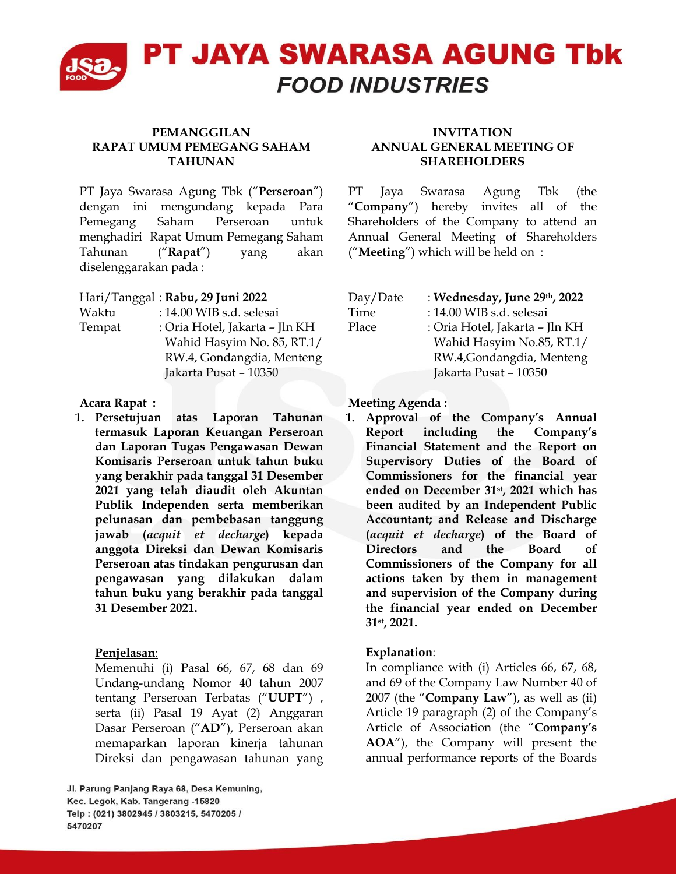# **PT JAYA SWARASA AGUNG Tbk FOOD INDUSTRIES**

#### **PEMANGGILAN INVITATION RAPAT UMUM PEMEGANG SAHAM TAHUNAN**

PT Jaya Swarasa Agung Tbk ("**Perseroan**") dengan ini mengundang kepada Para Pemegang Saham Perseroan untuk menghadiri Rapat Umum Pemegang Saham Tahunan ("**Rapat**") yang akan diselenggarakan pada :

#### Hari/Tanggal : **Rabu, 29 Juni 2022**

Waktu : 14.00 WIB s.d. selesai

Tempat : Oria Hotel, Jakarta – Jln KH Wahid Hasyim No. 85, RT.1/ RW.4, Gondangdia, Menteng Jakarta Pusat – 10350

#### **Acara Rapat :**

**1. Persetujuan atas Laporan Tahunan termasuk Laporan Keuangan Perseroan dan Laporan Tugas Pengawasan Dewan Komisaris Perseroan untuk tahun buku yang berakhir pada tanggal 31 Desember 2021 yang telah diaudit oleh Akuntan Publik Independen serta memberikan pelunasan dan pembebasan tanggung jawab (***acquit et decharge***) kepada anggota Direksi dan Dewan Komisaris Perseroan atas tindakan pengurusan dan pengawasan yang dilakukan dalam tahun buku yang berakhir pada tanggal 31 Desember 2021.**

#### **Penjelasan**:

Memenuhi (i) Pasal 66, 67, 68 dan 69 Undang-undang Nomor 40 tahun 2007 tentang Perseroan Terbatas ("**UUPT**") , serta (ii) Pasal 19 Ayat (2) Anggaran Dasar Perseroan ("**AD**"), Perseroan akan memaparkan laporan kinerja tahunan Direksi dan pengawasan tahunan yang

Jl. Parung Panjang Raya 68, Desa Kemuning, Kec. Legok, Kab. Tangerang -15820 Telp: (021) 3802945 / 3803215, 5470205 / 5470207

# **ANNUAL GENERAL MEETING OF SHAREHOLDERS**

PT Jaya Swarasa Agung Tbk (the "**Company**") hereby invites all of the Shareholders of the Company to attend an Annual General Meeting of Shareholders ("**Meeting**") which will be held on :

| Day/Date | : Wednesday, June 29th, 2022   |
|----------|--------------------------------|
| Time     | : 14.00 WIB s.d. selesai       |
| Place    | : Oria Hotel, Jakarta – Jln KH |
|          | Wahid Hasyim No.85, RT.1/      |
|          | RW.4, Gondangdia, Menteng      |
|          | Jakarta Pusat - 10350          |

#### **Meeting Agenda :**

**1. Approval of the Company's Annual Report including the Company's Financial Statement and the Report on Supervisory Duties of the Board of Commissioners for the financial year ended on December 31st, 2021 which has been audited by an Independent Public Accountant; and Release and Discharge (***acquit et decharge***) of the Board of Directors and the Board of Commissioners of the Company for all actions taken by them in management and supervision of the Company during the financial year ended on December 31st, 2021.**

### **Explanation**:

In compliance with (i) Articles 66, 67, 68, and 69 of the Company Law Number 40 of 2007 (the "**Company Law**"), as well as (ii) Article 19 paragraph (2) of the Company"s Article of Association (the "**Company's AOA**"), the Company will present the annual performance reports of the Boards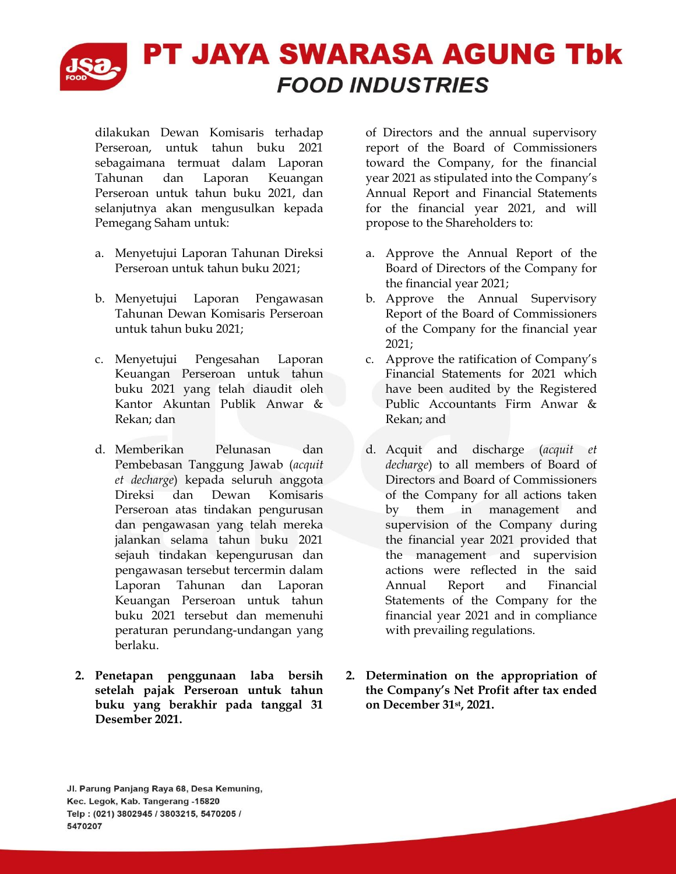

dilakukan Dewan Komisaris terhadap Perseroan, untuk tahun buku 2021 sebagaimana termuat dalam Laporan Tahunan dan Laporan Keuangan Perseroan untuk tahun buku 2021, dan selanjutnya akan mengusulkan kepada Pemegang Saham untuk:

- a. Menyetujui Laporan Tahunan Direksi Perseroan untuk tahun buku 2021;
- b. Menyetujui Laporan Pengawasan Tahunan Dewan Komisaris Perseroan untuk tahun buku 2021;
- c. Menyetujui Pengesahan Laporan Keuangan Perseroan untuk tahun buku 2021 yang telah diaudit oleh Kantor Akuntan Publik Anwar & Rekan; dan
- d. Memberikan Pelunasan dan Pembebasan Tanggung Jawab (*acquit et decharge*) kepada seluruh anggota Direksi dan Dewan Komisaris Perseroan atas tindakan pengurusan dan pengawasan yang telah mereka jalankan selama tahun buku 2021 sejauh tindakan kepengurusan dan pengawasan tersebut tercermin dalam Laporan Tahunan dan Laporan Keuangan Perseroan untuk tahun buku 2021 tersebut dan memenuhi peraturan perundang-undangan yang berlaku.
- **2. Penetapan penggunaan laba bersih setelah pajak Perseroan untuk tahun buku yang berakhir pada tanggal 31 Desember 2021.**

of Directors and the annual supervisory report of the Board of Commissioners toward the Company, for the financial year 2021 as stipulated into the Company"s Annual Report and Financial Statements for the financial year 2021, and will propose to the Shareholders to:

- a. Approve the Annual Report of the Board of Directors of the Company for the financial year 2021;
- b. Approve the Annual Supervisory Report of the Board of Commissioners of the Company for the financial year 2021;
- c. Approve the ratification of Company"s Financial Statements for 2021 which have been audited by the Registered Public Accountants Firm Anwar & Rekan; and
- d. Acquit and discharge (*acquit et decharge*) to all members of Board of Directors and Board of Commissioners of the Company for all actions taken by them in management and supervision of the Company during the financial year 2021 provided that the management and supervision actions were reflected in the said Annual Report and Financial Statements of the Company for the financial year 2021 and in compliance with prevailing regulations.
- **2. Determination on the appropriation of the Company's Net Profit after tax ended on December 31st, 2021.**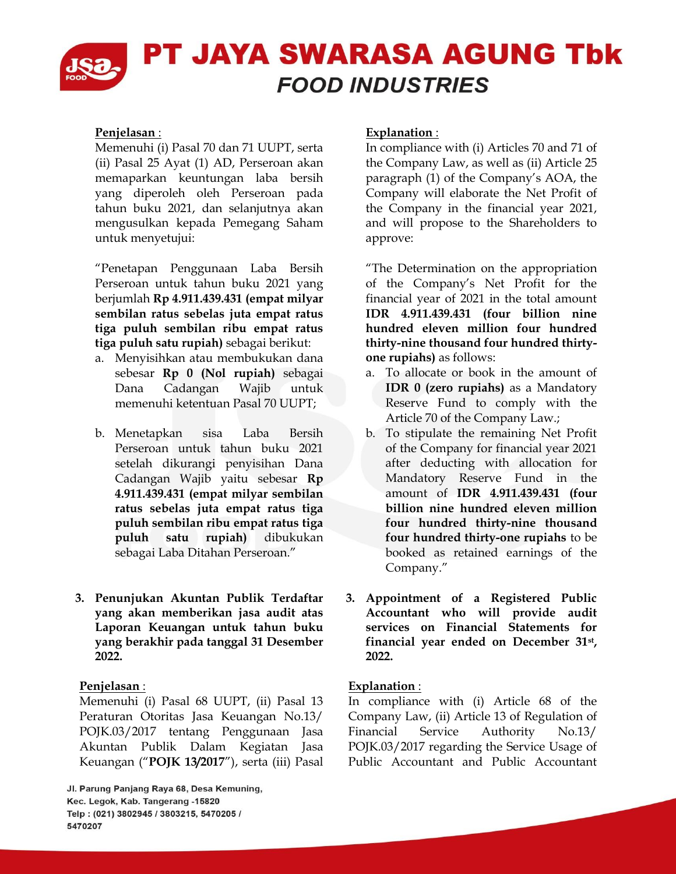**PT JAYA SWARASA AGUNG Tbk FOOD INDUSTRIES** 

#### **Penjelasan** :

Memenuhi (i) Pasal 70 dan 71 UUPT, serta (ii) Pasal 25 Ayat (1) AD, Perseroan akan memaparkan keuntungan laba bersih yang diperoleh oleh Perseroan pada tahun buku 2021, dan selanjutnya akan mengusulkan kepada Pemegang Saham untuk menyetujui:

"Penetapan Penggunaan Laba Bersih Perseroan untuk tahun buku 2021 yang berjumlah **Rp 4.911.439.431 (empat milyar sembilan ratus sebelas juta empat ratus tiga puluh sembilan ribu empat ratus tiga puluh satu rupiah)** sebagai berikut:

- a. Menyisihkan atau membukukan dana sebesar **Rp 0 (Nol rupiah)** sebagai Dana Cadangan Wajib untuk memenuhi ketentuan Pasal 70 UUPT;
- b. Menetapkan sisa Laba Bersih Perseroan untuk tahun buku 2021 setelah dikurangi penyisihan Dana Cadangan Wajib yaitu sebesar **Rp 4.911.439.431 (empat milyar sembilan ratus sebelas juta empat ratus tiga puluh sembilan ribu empat ratus tiga puluh satu rupiah)** dibukukan sebagai Laba Ditahan Perseroan."
- **3. Penunjukan Akuntan Publik Terdaftar yang akan memberikan jasa audit atas Laporan Keuangan untuk tahun buku yang berakhir pada tanggal 31 Desember 2022.**

### **Penjelasan** :

Memenuhi (i) Pasal 68 UUPT, (ii) Pasal 13 Peraturan Otoritas Jasa Keuangan No.13/ POJK.03/2017 tentang Penggunaan Jasa Akuntan Publik Dalam Kegiatan Jasa Keuangan ("**POJK 13/2017**"), serta (iii) Pasal

Jl. Parung Panjang Raya 68, Desa Kemuning, Kec. Legok, Kab. Tangerang -15820 Telp: (021) 3802945 / 3803215, 5470205 / 5470207

#### **Explanation** :

In compliance with (i) Articles 70 and 71 of the Company Law, as well as (ii) Article 25 paragraph (1) of the Company"s AOA, the Company will elaborate the Net Profit of the Company in the financial year 2021, and will propose to the Shareholders to approve:

"The Determination on the appropriation of the Company"s Net Profit for the financial year of 2021 in the total amount **IDR 4.911.439.431 (four billion nine hundred eleven million four hundred thirty-nine thousand four hundred thirtyone rupiahs)** as follows:

- a. To allocate or book in the amount of **IDR 0 (zero rupiahs)** as a Mandatory Reserve Fund to comply with the Article 70 of the Company Law.;
- b. To stipulate the remaining Net Profit of the Company for financial year 2021 after deducting with allocation for Mandatory Reserve Fund in the amount of **IDR 4.911.439.431 (four billion nine hundred eleven million four hundred thirty-nine thousand four hundred thirty-one rupiahs** to be booked as retained earnings of the Company."
- **3. Appointment of a Registered Public Accountant who will provide audit services on Financial Statements for financial year ended on December 31st , 2022.**

### **Explanation** :

In compliance with (i) Article 68 of the Company Law, (ii) Article 13 of Regulation of Financial Service Authority No.13/ POJK.03/2017 regarding the Service Usage of Public Accountant and Public Accountant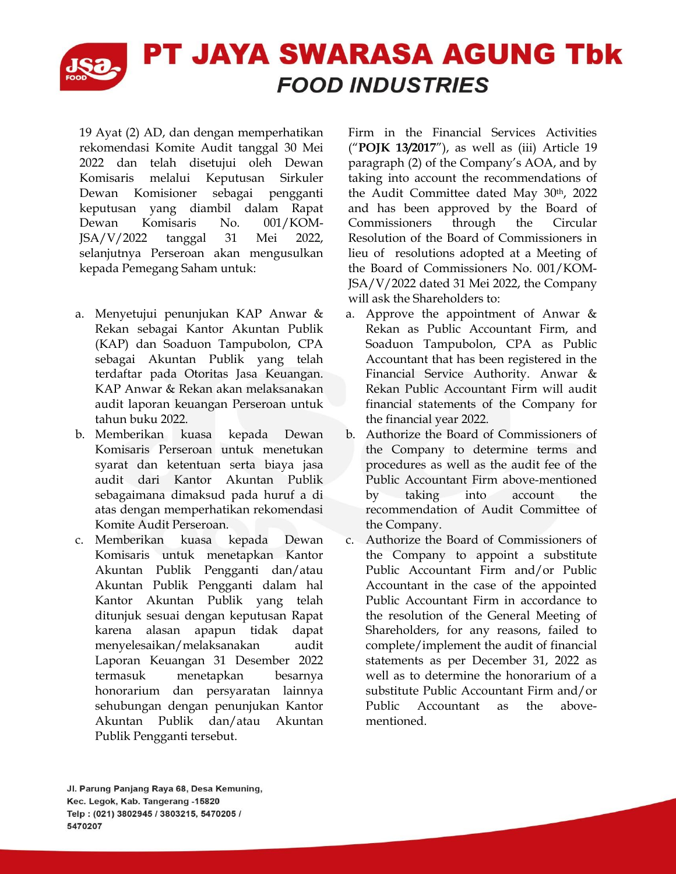

19 Ayat (2) AD, dan dengan memperhatikan rekomendasi Komite Audit tanggal 30 Mei 2022 dan telah disetujui oleh Dewan Komisaris melalui Keputusan Sirkuler Dewan Komisioner sebagai pengganti keputusan yang diambil dalam Rapat Dewan Komisaris No. 001/KOM-JSA/V/2022 tanggal 31 Mei 2022, selanjutnya Perseroan akan mengusulkan kepada Pemegang Saham untuk:

- a. Menyetujui penunjukan KAP Anwar & Rekan sebagai Kantor Akuntan Publik (KAP) dan Soaduon Tampubolon, CPA sebagai Akuntan Publik yang telah terdaftar pada Otoritas Jasa Keuangan. KAP Anwar & Rekan akan melaksanakan audit laporan keuangan Perseroan untuk tahun buku 2022.
- b. Memberikan kuasa kepada Dewan Komisaris Perseroan untuk menetukan syarat dan ketentuan serta biaya jasa audit dari Kantor Akuntan Publik sebagaimana dimaksud pada huruf a di atas dengan memperhatikan rekomendasi Komite Audit Perseroan.
- c. Memberikan kuasa kepada Dewan Komisaris untuk menetapkan Kantor Akuntan Publik Pengganti dan/atau Akuntan Publik Pengganti dalam hal Kantor Akuntan Publik yang telah ditunjuk sesuai dengan keputusan Rapat karena alasan apapun tidak dapat menyelesaikan/melaksanakan audit Laporan Keuangan 31 Desember 2022 termasuk menetapkan besarnya honorarium dan persyaratan lainnya sehubungan dengan penunjukan Kantor Akuntan Publik dan/atau Akuntan Publik Pengganti tersebut.

Firm in the Financial Services Activities ("**POJK 13/2017**"), as well as (iii) Article 19 paragraph (2) of the Company's AOA, and by taking into account the recommendations of the Audit Committee dated May 30th, 2022 and has been approved by the Board of Commissioners through the Circular Resolution of the Board of Commissioners in lieu of resolutions adopted at a Meeting of the Board of Commissioners No. 001/KOM-JSA/V/2022 dated 31 Mei 2022, the Company will ask the Shareholders to:

- a. Approve the appointment of Anwar & Rekan as Public Accountant Firm, and Soaduon Tampubolon, CPA as Public Accountant that has been registered in the Financial Service Authority. Anwar & Rekan Public Accountant Firm will audit financial statements of the Company for the financial year 2022.
- b. Authorize the Board of Commissioners of the Company to determine terms and procedures as well as the audit fee of the Public Accountant Firm above-mentioned by taking into account the recommendation of Audit Committee of the Company.
- c. Authorize the Board of Commissioners of the Company to appoint a substitute Public Accountant Firm and/or Public Accountant in the case of the appointed Public Accountant Firm in accordance to the resolution of the General Meeting of Shareholders, for any reasons, failed to complete/implement the audit of financial statements as per December 31, 2022 as well as to determine the honorarium of a substitute Public Accountant Firm and/or Public Accountant as the abovementioned.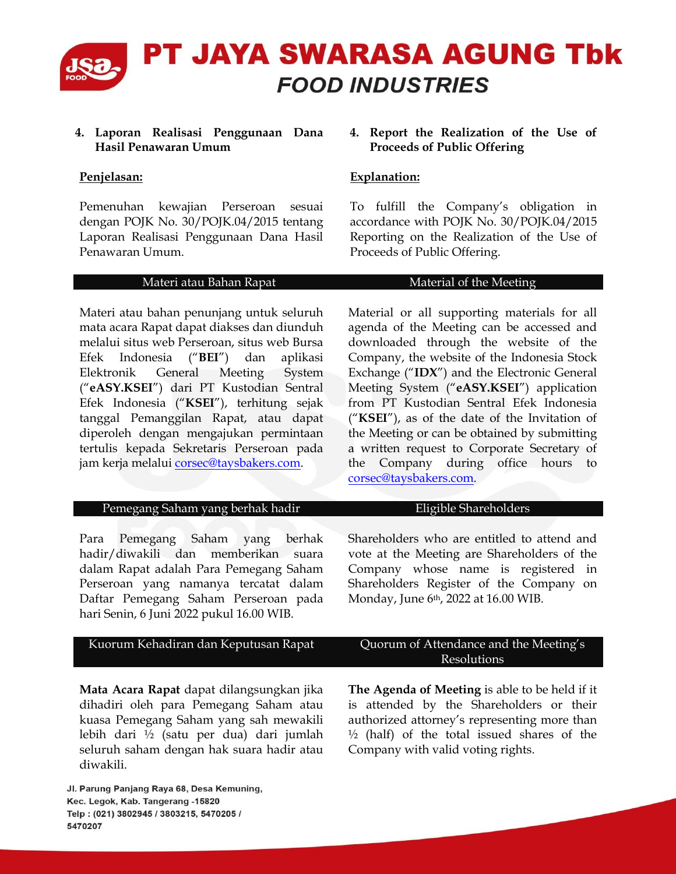

#### **4. Laporan Realisasi Penggunaan Dana Hasil Penawaran Umum**

#### **Penjelasan:**

Pemenuhan kewajian Perseroan sesuai dengan POJK No. 30/POJK.04/2015 tentang Laporan Realisasi Penggunaan Dana Hasil Penawaran Umum.

#### Materi atau Bahan Rapat Material of the Meeting

Materi atau bahan penunjang untuk seluruh mata acara Rapat dapat diakses dan diunduh melalui situs web Perseroan, situs web Bursa Efek Indonesia ("**BEI**") dan aplikasi Elektronik General Meeting System ("**eASY.KSEI**") dari PT Kustodian Sentral Efek Indonesia ("**KSEI**"), terhitung sejak tanggal Pemanggilan Rapat, atau dapat diperoleh dengan mengajukan permintaan tertulis kepada Sekretaris Perseroan pada jam kerja melalui [corsec@taysbakers.com.](mailto:corsec@taysbakers.com)

#### Pemegang Saham yang berhak hadir **Eligible Shareholders**

Para Pemegang Saham yang berhak hadir/diwakili dan memberikan suara dalam Rapat adalah Para Pemegang Saham Perseroan yang namanya tercatat dalam Daftar Pemegang Saham Perseroan pada hari Senin, 6 Juni 2022 pukul 16.00 WIB.

**4. Report the Realization of the Use of Proceeds of Public Offering**

#### **Explanation:**

To fulfill the Company's obligation in accordance with POJK No. 30/POJK.04/2015 Reporting on the Realization of the Use of Proceeds of Public Offering.

Material or all supporting materials for all agenda of the Meeting can be accessed and downloaded through the website of the Company, the website of the Indonesia Stock Exchange ("**IDX**") and the Electronic General Meeting System ("**eASY.KSEI**") application from PT Kustodian Sentral Efek Indonesia ("**KSEI**"), as of the date of the Invitation of the Meeting or can be obtained by submitting a written request to Corporate Secretary of the Company during office hours to [corsec@taysbakers.com.](mailto:corsec@taysbakers.com)

Shareholders who are entitled to attend and vote at the Meeting are Shareholders of the Company whose name is registered in Shareholders Register of the Company on Monday, June 6th, 2022 at 16.00 WIB.

#### Kuorum Kehadiran dan Keputusan Rapat Quorum of Attendance and the Meeting's Resolutions

**Mata Acara Rapat** dapat dilangsungkan jika dihadiri oleh para Pemegang Saham atau kuasa Pemegang Saham yang sah mewakili lebih dari ½ (satu per dua) dari jumlah seluruh saham dengan hak suara hadir atau diwakili.

**The Agenda of Meeting** is able to be held if it is attended by the Shareholders or their authorized attorney's representing more than  $\frac{1}{2}$  (half) of the total issued shares of the Company with valid voting rights.

Jl. Parung Panjang Raya 68, Desa Kemuning, Kec. Legok, Kab. Tangerang -15820 Telp: (021) 3802945 / 3803215, 5470205 / 5470207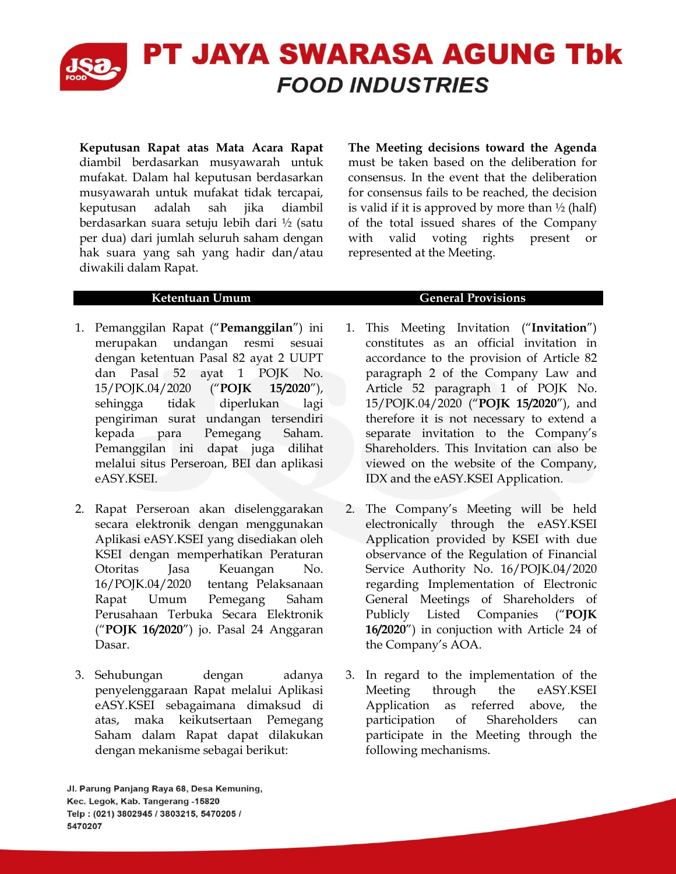

**Keputusan Rapat atas Mata Acara Rapat** diambil berdasarkan musyawarah untuk mufakat. Dalam hal keputusan berdasarkan musyawarah untuk mufakat tidak tercapai, keputusan adalah sah jika diambil berdasarkan suara setuju lebih dari ½ (satu per dua) dari jumlah seluruh saham dengan hak suara yang sah yang hadir dan/atau diwakili dalam Rapat.

**The Meeting decisions toward the Agenda** must be taken based on the deliberation for consensus. In the event that the deliberation for consensus fails to be reached, the decision is valid if it is approved by more than  $\frac{1}{2}$  (half) of the total issued shares of the Company with valid voting rights present or represented at the Meeting.

#### **Ketentuan Umum General Provisions**

- 1. Pemanggilan Rapat ("**Pemanggilan**") ini merupakan undangan resmi sesuai dengan ketentuan Pasal 82 ayat 2 UUPT dan Pasal 52 ayat 1 POJK No. 15/POJK.04/2020 ("**POJK 15/2020**"), sehingga tidak diperlukan lagi pengiriman surat undangan tersendiri kepada para Pemegang Saham. Pemanggilan ini dapat juga dilihat melalui situs Perseroan, BEI dan aplikasi eASY.KSEI.
- 2. Rapat Perseroan akan diselenggarakan secara elektronik dengan menggunakan Aplikasi eASY.KSEI yang disediakan oleh KSEI dengan memperhatikan Peraturan Otoritas Jasa Keuangan No. 16/POJK.04/2020 tentang Pelaksanaan Rapat Umum Pemegang Saham Perusahaan Terbuka Secara Elektronik ("**POJK 16/2020**") jo. Pasal 24 Anggaran Dasar.
- 3. Sehubungan dengan adanya penyelenggaraan Rapat melalui Aplikasi eASY.KSEI sebagaimana dimaksud di atas, maka keikutsertaan Pemegang Saham dalam Rapat dapat dilakukan dengan mekanisme sebagai berikut:

# 1. This Meeting Invitation ("**Invitation**") constitutes as an official invitation in accordance to the provision of Article 82 paragraph 2 of the Company Law and Article 52 paragraph 1 of POJK No.

- 15/POJK.04/2020 ("**POJK 15/2020**"), and therefore it is not necessary to extend a separate invitation to the Company's Shareholders. This Invitation can also be viewed on the website of the Company, IDX and the eASY.KSEI Application.
- 2. The Company"s Meeting will be held electronically through the eASY.KSEI Application provided by KSEI with due observance of the Regulation of Financial Service Authority No. 16/POJK.04/2020 regarding Implementation of Electronic General Meetings of Shareholders of Publicly Listed Companies ("**POJK 16/2020**") in conjuction with Article 24 of the Company"s AOA.
- 3. In regard to the implementation of the Meeting through the eASY.KSEI Application as referred above, the participation of Shareholders can participate in the Meeting through the following mechanisms.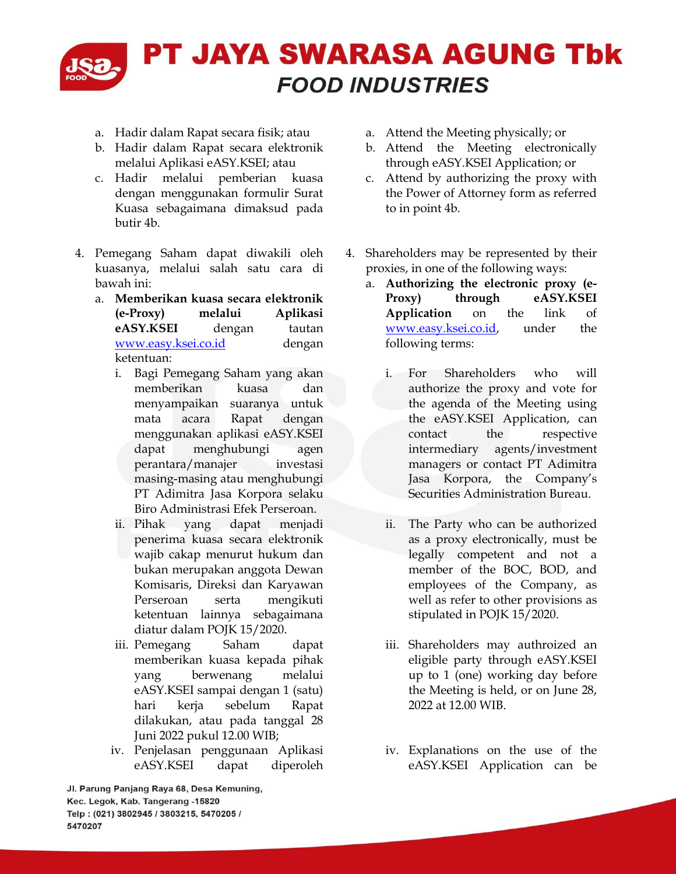

- a. Hadir dalam Rapat secara fisik; atau
- b. Hadir dalam Rapat secara elektronik melalui Aplikasi eASY.KSEI; atau
- c. Hadir melalui pemberian kuasa dengan menggunakan formulir Surat Kuasa sebagaimana dimaksud pada butir 4b.
- 4. Pemegang Saham dapat diwakili oleh kuasanya, melalui salah satu cara di bawah ini:
	- a. **Memberikan kuasa secara elektronik (e-Proxy) melalui Aplikasi eASY.KSEI** dengan tautan [www.easy.ksei.co.id](http://www.easy.ksei.co.id/) dengan ketentuan:
		- i. Bagi Pemegang Saham yang akan memberikan kuasa dan menyampaikan suaranya untuk mata acara Rapat dengan menggunakan aplikasi eASY.KSEI dapat menghubungi agen perantara/manajer investasi masing-masing atau menghubungi PT Adimitra Jasa Korpora selaku Biro Administrasi Efek Perseroan.
		- ii. Pihak yang dapat menjadi penerima kuasa secara elektronik wajib cakap menurut hukum dan bukan merupakan anggota Dewan Komisaris, Direksi dan Karyawan Perseroan serta mengikuti ketentuan lainnya sebagaimana diatur dalam POJK 15/2020.
		- iii. Pemegang Saham dapat memberikan kuasa kepada pihak yang berwenang melalui eASY.KSEI sampai dengan 1 (satu) hari kerja sebelum Rapat dilakukan, atau pada tanggal 28 Juni 2022 pukul 12.00 WIB;
		- iv. Penjelasan penggunaan Aplikasi eASY.KSEI dapat diperoleh

ii. The Party who can be authorized as a proxy electronically, must be legally competent and not a member of the BOC, BOD, and employees of the Company, as well as refer to other provisions as stipulated in POJK 15/2020.

i. For Shareholders who will authorize the proxy and vote for the agenda of the Meeting using the eASY.KSEI Application, can contact the respective intermediary agents/investment managers or contact PT Adimitra

a. Attend the Meeting physically; or b. Attend the Meeting electronically through eASY.KSEI Application; or c. Attend by authorizing the proxy with the Power of Attorney form as referred

4. Shareholders may be represented by their proxies, in one of the following ways: a. **Authorizing the electronic proxy (e-Proxy) through eASY.KSEI Application** on the link of [www.easy.ksei.co.id,](https://.www.easy.ksei.co.id/) under the

to in point 4b.

following terms:

- iii. Shareholders may authroized an eligible party through eASY.KSEI up to 1 (one) working day before the Meeting is held, or on June 28, 2022 at 12.00 WIB.
- iv. Explanations on the use of the eASY.KSEI Application can be

Jasa Korpora, the Company's Securities Administration Bureau.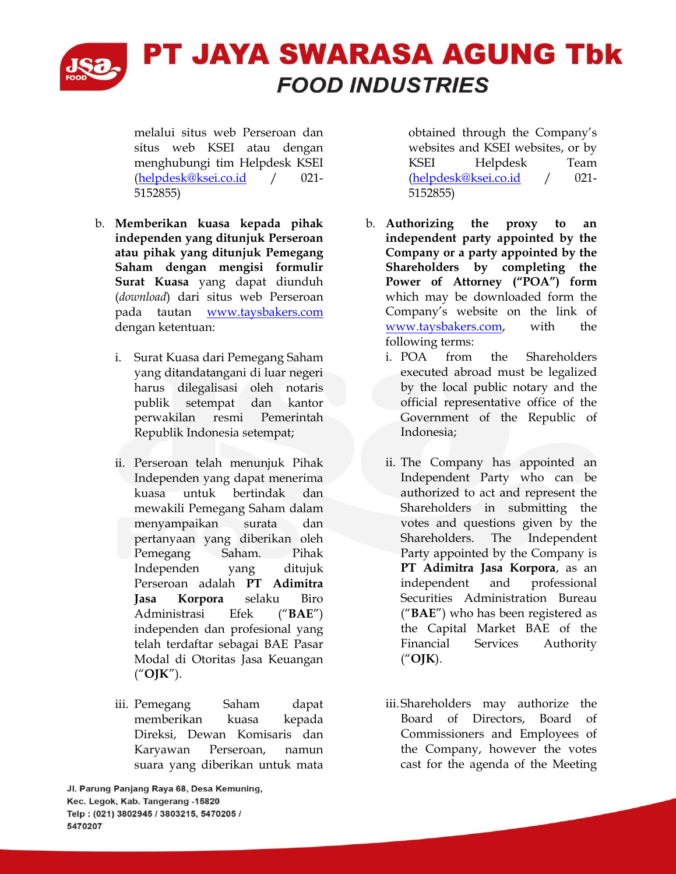

melalui situs web Perseroan dan situs web KSEI atau dengan menghubungi tim Helpdesk KSEI [\(helpdesk@ksei.co.id](mailto:helpdesk@ksei.co.id) / 021- 5152855)

- b. **Memberikan kuasa kepada pihak independen yang ditunjuk Perseroan atau pihak yang ditunjuk Pemegang Saham dengan mengisi formulir Surat Kuasa** yang dapat diunduh (*download*) dari situs web Perseroan pada tautan [www.taysbakers.com](http://www.taysbakers.com/) dengan ketentuan:
	- i. Surat Kuasa dari Pemegang Saham yang ditandatangani di luar negeri harus dilegalisasi oleh notaris publik setempat dan kantor perwakilan resmi Pemerintah Republik Indonesia setempat;
	- ii. Perseroan telah menunjuk Pihak Independen yang dapat menerima kuasa untuk bertindak dan mewakili Pemegang Saham dalam menyampaikan surata dan pertanyaan yang diberikan oleh Pemegang Saham. Pihak Independen yang ditujuk Perseroan adalah **PT Adimitra Jasa Korpora** selaku Biro Administrasi Efek ("**BAE**") independen dan profesional yang telah terdaftar sebagai BAE Pasar Modal di Otoritas Jasa Keuangan ("**OJK**").
	- iii. Pemegang Saham dapat memberikan kuasa kepada Direksi, Dewan Komisaris dan Karyawan Perseroan, namun suara yang diberikan untuk mata

Jl. Parung Panjang Raya 68, Desa Kemuning, Kec. Legok, Kab. Tangerang -15820 Telp: (021) 3802945 / 3803215, 5470205 / 5470207

obtained through the Company"s websites and KSEI websites, or by KSEI Helpdesk Team [\(helpdesk@ksei.co.id](mailto:helpdesk@ksei.co.id) / 021- 5152855)

- b. **Authorizing the proxy to an independent party appointed by the Company or a party appointed by the Shareholders by completing the Power of Attorney ("POA") form** which may be downloaded form the Company"s website on the link of [www.taysbakers.com,](http://www.taysbakers.com/) with the following terms:
	- i. POA from the Shareholders executed abroad must be legalized by the local public notary and the official representative office of the Government of the Republic of Indonesia;
	- ii. The Company has appointed an Independent Party who can be authorized to act and represent the Shareholders in submitting the votes and questions given by the Shareholders. The Independent Party appointed by the Company is **PT Adimitra Jasa Korpora**, as an independent and professional Securities Administration Bureau ("**BAE**") who has been registered as the Capital Market BAE of the Financial Services Authority ("**OJK**).
	- iii.Shareholders may authorize the Board of Directors, Board of Commissioners and Employees of the Company, however the votes cast for the agenda of the Meeting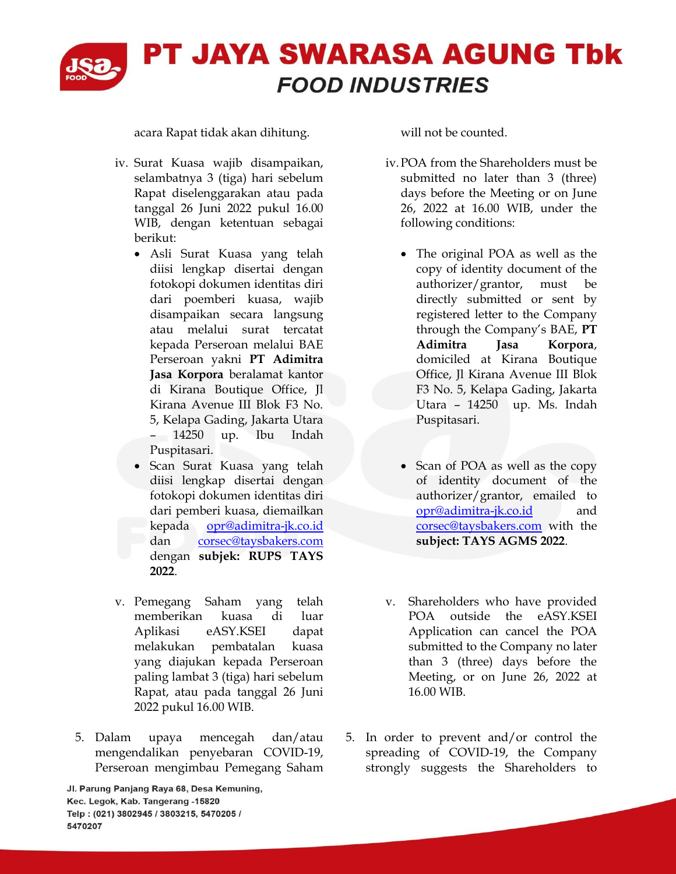

acara Rapat tidak akan dihitung.

- iv. Surat Kuasa wajib disampaikan, selambatnya 3 (tiga) hari sebelum Rapat diselenggarakan atau pada tanggal 26 Juni 2022 pukul 16.00 WIB, dengan ketentuan sebagai berikut:
	- Asli Surat Kuasa yang telah diisi lengkap disertai dengan fotokopi dokumen identitas diri dari poemberi kuasa, wajib disampaikan secara langsung atau melalui surat tercatat kepada Perseroan melalui BAE Perseroan yakni **PT Adimitra Jasa Korpora** beralamat kantor di Kirana Boutique Office, Jl Kirana Avenue III Blok F3 No. 5, Kelapa Gading, Jakarta Utara – 14250 up. Ibu Indah Puspitasari.
	- Scan Surat Kuasa yang telah diisi lengkap disertai dengan fotokopi dokumen identitas diri dari pemberi kuasa, diemailkan kepada [opr@adimitra-jk.co.id](mailto:opr@adimitra-jk.co.id) dan [corsec@taysbakers.com](mailto:corsec@taysbakers.com) dengan **subjek: RUPS TAYS 2022**.
- v. Pemegang Saham yang telah memberikan kuasa di luar Aplikasi eASY.KSEI dapat melakukan pembatalan kuasa yang diajukan kepada Perseroan paling lambat 3 (tiga) hari sebelum Rapat, atau pada tanggal 26 Juni 2022 pukul 16.00 WIB.
- 5. Dalam upaya mencegah dan/atau mengendalikan penyebaran COVID-19, Perseroan mengimbau Pemegang Saham

Jl. Parung Panjang Raya 68, Desa Kemuning, Kec. Legok, Kab. Tangerang -15820 Telp: (021) 3802945 / 3803215, 5470205 / 5470207

will not be counted.

- iv.POA from the Shareholders must be submitted no later than 3 (three) days before the Meeting or on June 26, 2022 at 16.00 WIB, under the following conditions:
	- The original POA as well as the copy of identity document of the authorizer/grantor, must be directly submitted or sent by registered letter to the Company through the Company"s BAE, **PT Adimitra Jasa Korpora**, domiciled at Kirana Boutique Office, Jl Kirana Avenue III Blok F3 No. 5, Kelapa Gading, Jakarta Utara – 14250 up. Ms. Indah Puspitasari.
	- Scan of POA as well as the copy of identity document of the authorizer/grantor, emailed to [opr@adimitra-jk.co.id](mailto:opr@adimitra-jk.co.id) and [corsec@taysbakers.com](mailto:corsec@taysbakers.com) with the **subject: TAYS AGMS 2022**.
- v. Shareholders who have provided POA outside the eASY.KSEI Application can cancel the POA submitted to the Company no later than 3 (three) days before the Meeting, or on June 26, 2022 at 16.00 WIB.
- 5. In order to prevent and/or control the spreading of COVID-19, the Company strongly suggests the Shareholders to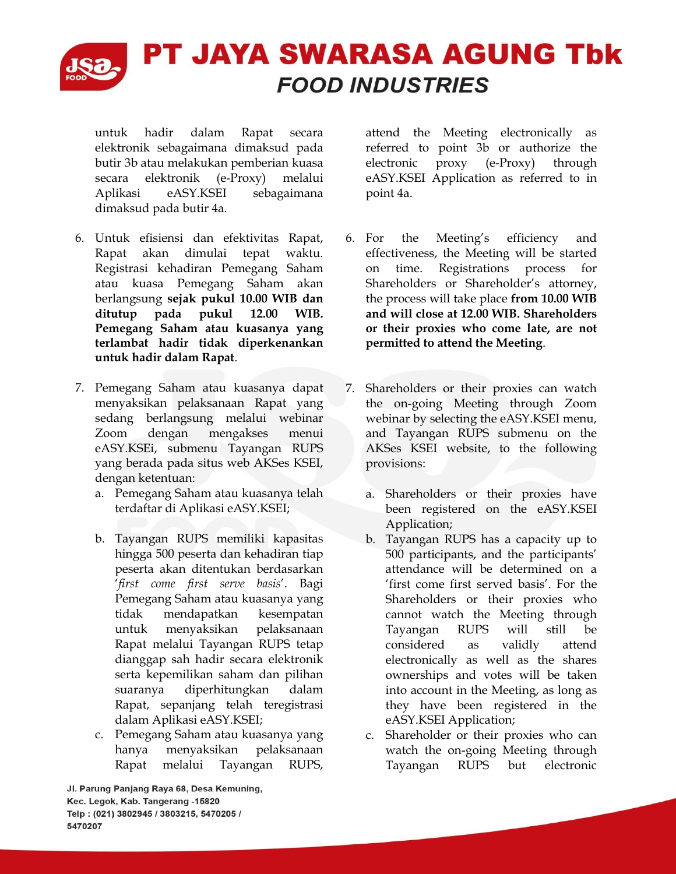

untuk hadir dalam Rapat secara elektronik sebagaimana dimaksud pada butir 3b atau melakukan pemberian kuasa secara elektronik (e-Proxy) melalui Aplikasi eASY.KSEI sebagaimana dimaksud pada butir 4a.

- 6. Untuk efisiensi dan efektivitas Rapat, Rapat akan dimulai tepat waktu. Registrasi kehadiran Pemegang Saham atau kuasa Pemegang Saham akan berlangsung **sejak pukul 10.00 WIB dan ditutup pada pukul 12.00 WIB. Pemegang Saham atau kuasanya yang terlambat hadir tidak diperkenankan untuk hadir dalam Rapat**.
- 7. Pemegang Saham atau kuasanya dapat menyaksikan pelaksanaan Rapat yang sedang berlangsung melalui webinar Zoom dengan mengakses menui eASY.KSEi, submenu Tayangan RUPS yang berada pada situs web AKSes KSEI, dengan ketentuan:
	- a. Pemegang Saham atau kuasanya telah terdaftar di Aplikasi eASY.KSEI;
	- b. Tayangan RUPS memiliki kapasitas hingga 500 peserta dan kehadiran tiap peserta akan ditentukan berdasarkan "*first come first serve basis*". Bagi Pemegang Saham atau kuasanya yang tidak mendapatkan kesempatan untuk menyaksikan pelaksanaan Rapat melalui Tayangan RUPS tetap dianggap sah hadir secara elektronik serta kepemilikan saham dan pilihan suaranya diperhitungkan dalam Rapat, sepanjang telah teregistrasi dalam Aplikasi eASY.KSEI;
	- c. Pemegang Saham atau kuasanya yang hanya menyaksikan pelaksanaan Rapat melalui Tayangan RUPS,

attend the Meeting electronically as referred to point 3b or authorize the electronic proxy (e-Proxy) through eASY.KSEI Application as referred to in point 4a.

- 6. For the Meeting"s efficiency and effectiveness, the Meeting will be started on time. Registrations process for Shareholders or Shareholder's attorney, the process will take place **from 10.00 WIB and will close at 12.00 WIB. Shareholders or their proxies who come late, are not permitted to attend the Meeting**.
- 7. Shareholders or their proxies can watch the on-going Meeting through Zoom webinar by selecting the eASY.KSEI menu, and Tayangan RUPS submenu on the AKSes KSEI website, to the following provisions:
	- a. Shareholders or their proxies have been registered on the eASY.KSEI Application;
	- b. Tayangan RUPS has a capacity up to 500 participants, and the participants" attendance will be determined on a "first come first served basis". For the Shareholders or their proxies who cannot watch the Meeting through Tayangan RUPS will still be considered as validly attend electronically as well as the shares ownerships and votes will be taken into account in the Meeting, as long as they have been registered in the eASY.KSEI Application;
	- c. Shareholder or their proxies who can watch the on-going Meeting through Tayangan RUPS but electronic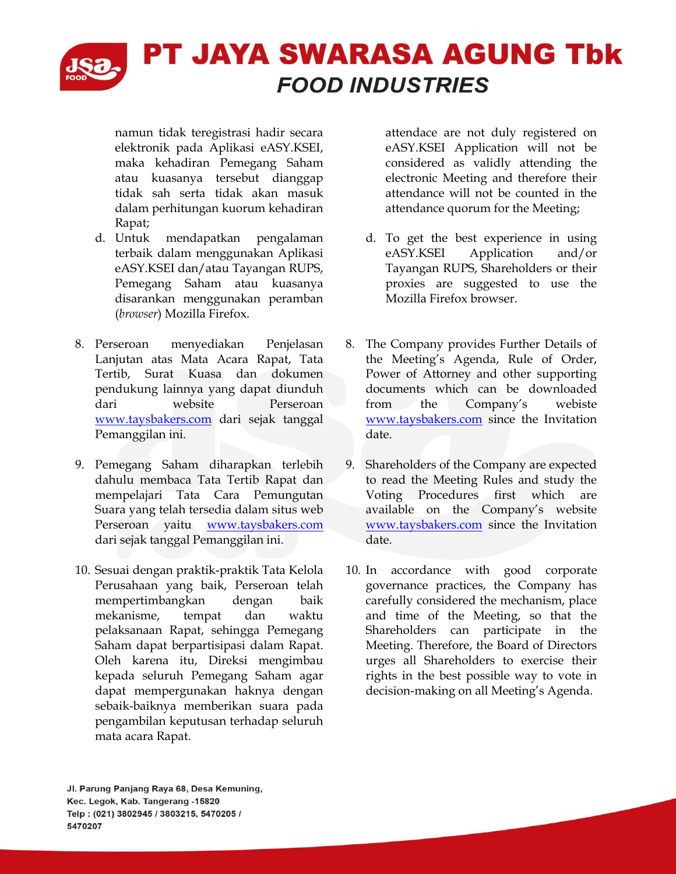

namun tidak teregistrasi hadir secara elektronik pada Aplikasi eASY.KSEI, maka kehadiran Pemegang Saham atau kuasanya tersebut dianggap tidak sah serta tidak akan masuk dalam perhitungan kuorum kehadiran Rapat;

- d. Untuk mendapatkan pengalaman terbaik dalam menggunakan Aplikasi eASY.KSEI dan/atau Tayangan RUPS, Pemegang Saham atau kuasanya disarankan menggunakan peramban (*browser*) Mozilla Firefox.
- 8. Perseroan menyediakan Penjelasan Lanjutan atas Mata Acara Rapat, Tata Tertib, Surat Kuasa dan dokumen pendukung lainnya yang dapat diunduh dari website Perseroan [www.taysbakers.com](http://www.taysbakers.com/) dari sejak tanggal Pemanggilan ini.
- 9. Pemegang Saham diharapkan terlebih dahulu membaca Tata Tertib Rapat dan mempelajari Tata Cara Pemungutan Suara yang telah tersedia dalam situs web Perseroan yaitu [www.taysbakers.com](http://www.taysbakers.com/) dari sejak tanggal Pemanggilan ini.
- 10. Sesuai dengan praktik-praktik Tata Kelola Perusahaan yang baik, Perseroan telah mempertimbangkan dengan baik mekanisme, tempat dan waktu pelaksanaan Rapat, sehingga Pemegang Saham dapat berpartisipasi dalam Rapat. Oleh karena itu, Direksi mengimbau kepada seluruh Pemegang Saham agar dapat mempergunakan haknya dengan sebaik-baiknya memberikan suara pada pengambilan keputusan terhadap seluruh mata acara Rapat.

attendace are not duly registered on eASY.KSEI Application will not be considered as validly attending the electronic Meeting and therefore their attendance will not be counted in the attendance quorum for the Meeting;

- d. To get the best experience in using eASY.KSEI Application and/or Tayangan RUPS, Shareholders or their proxies are suggested to use the Mozilla Firefox browser.
- 8. The Company provides Further Details of the Meeting"s Agenda, Rule of Order, Power of Attorney and other supporting documents which can be downloaded from the Company"s webiste [www.taysbakers.com](http://www.taysbakers.com/) since the Invitation date.
- 9. Shareholders of the Company are expected to read the Meeting Rules and study the Voting Procedures first which are available on the Company"s website [www.taysbakers.com](http://www.taysbakers.com/) since the Invitation date.
- 10. In accordance with good corporate governance practices, the Company has carefully considered the mechanism, place and time of the Meeting, so that the Shareholders can participate in the Meeting. Therefore, the Board of Directors urges all Shareholders to exercise their rights in the best possible way to vote in decision-making on all Meeting's Agenda.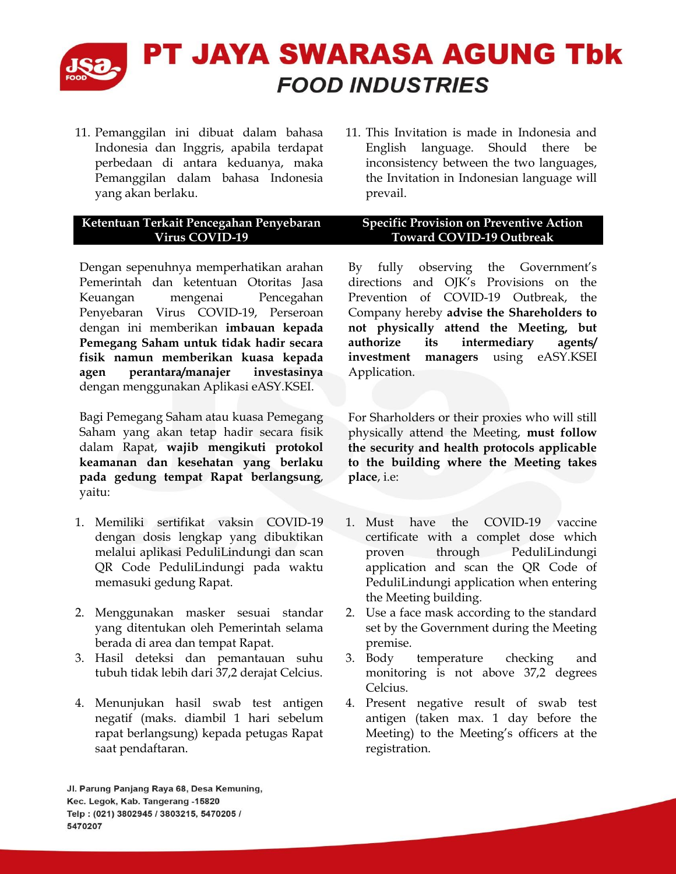

11. Pemanggilan ini dibuat dalam bahasa Indonesia dan Inggris, apabila terdapat perbedaan di antara keduanya, maka Pemanggilan dalam bahasa Indonesia yang akan berlaku.

#### **Ketentuan Terkait Pencegahan Penyebaran Virus COVID-19**

## inconsistency between the two languages, the Invitation in Indonesian language will prevail. **Specific Provision on Preventive Action**

**Toward COVID-19 Outbreak**

11. This Invitation is made in Indonesia and English language. Should there be

Dengan sepenuhnya memperhatikan arahan Pemerintah dan ketentuan Otoritas Jasa Keuangan mengenai Pencegahan Penyebaran Virus COVID-19, Perseroan dengan ini memberikan **imbauan kepada Pemegang Saham untuk tidak hadir secara fisik namun memberikan kuasa kepada agen perantara/manajer investasinya** dengan menggunakan Aplikasi eASY.KSEI.

Bagi Pemegang Saham atau kuasa Pemegang Saham yang akan tetap hadir secara fisik dalam Rapat, **wajib mengikuti protokol keamanan dan kesehatan yang berlaku pada gedung tempat Rapat berlangsung**, yaitu:

- 1. Memiliki sertifikat vaksin COVID-19 dengan dosis lengkap yang dibuktikan melalui aplikasi PeduliLindungi dan scan QR Code PeduliLindungi pada waktu memasuki gedung Rapat.
- 2. Menggunakan masker sesuai standar yang ditentukan oleh Pemerintah selama berada di area dan tempat Rapat.
- 3. Hasil deteksi dan pemantauan suhu tubuh tidak lebih dari 37,2 derajat Celcius.
- 4. Menunjukan hasil swab test antigen negatif (maks. diambil 1 hari sebelum rapat berlangsung) kepada petugas Rapat saat pendaftaran.

By fully observing the Government's directions and OJK"s Provisions on the Prevention of COVID-19 Outbreak, the Company hereby **advise the Shareholders to not physically attend the Meeting, but authorize its intermediary agents/ investment managers** using eASY.KSEI Application.

For Sharholders or their proxies who will still physically attend the Meeting, **must follow the security and health protocols applicable to the building where the Meeting takes place**, i.e:

- 1. Must have the COVID-19 vaccine certificate with a complet dose which proven through PeduliLindungi application and scan the QR Code of PeduliLindungi application when entering the Meeting building.
- 2. Use a face mask according to the standard set by the Government during the Meeting premise.
- 3. Body temperature checking and monitoring is not above 37,2 degrees Celcius.
- 4. Present negative result of swab test antigen (taken max. 1 day before the Meeting) to the Meeting's officers at the registration.

Jl. Parung Panjang Raya 68, Desa Kemuning, Kec. Legok, Kab. Tangerang -15820 Telp: (021) 3802945 / 3803215, 5470205 / 5470207